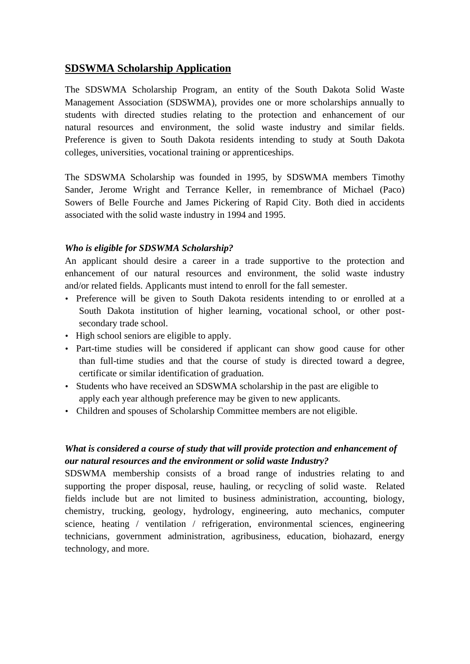# **SDSWMA Scholarship Application**

The SDSWMA Scholarship Program, an entity of the South Dakota Solid Waste Management Association (SDSWMA), provides one or more scholarships annually to students with directed studies relating to the protection and enhancement of our natural resources and environment, the solid waste industry and similar fields. Preference is given to South Dakota residents intending to study at South Dakota colleges, universities, vocational training or apprenticeships.

The SDSWMA Scholarship was founded in 1995, by SDSWMA members Timothy Sander, Jerome Wright and Terrance Keller, in remembrance of Michael (Paco) Sowers of Belle Fourche and James Pickering of Rapid City. Both died in accidents associated with the solid waste industry in 1994 and 1995.

### *Who is eligible for SDSWMA Scholarship?*

An applicant should desire a career in a trade supportive to the protection and enhancement of our natural resources and environment, the solid waste industry and/or related fields. Applicants must intend to enroll for the fall semester.

- *•* Preference will be given to South Dakota residents intending to or enrolled at a South Dakota institution of higher learning, vocational school, or other postsecondary trade school.
- *•* High school seniors are eligible to apply.
- *•* Part-time studies will be considered if applicant can show good cause for other than full-time studies and that the course of study is directed toward a degree, certificate or similar identification of graduation.
- *•* Students who have received an SDSWMA scholarship in the past are eligible to apply each year although preference may be given to new applicants.
- *•* Children and spouses of Scholarship Committee members are not eligible.

## *What is considered a course of study that will provide protection and enhancement of our natural resources and the environment or solid waste Industry?*

SDSWMA membership consists of a broad range of industries relating to and supporting the proper disposal, reuse, hauling, or recycling of solid waste. Related fields include but are not limited to business administration, accounting, biology, chemistry, trucking, geology, hydrology, engineering, auto mechanics, computer science, heating / ventilation / refrigeration, environmental sciences, engineering technicians, government administration, agribusiness, education, biohazard, energy technology, and more.